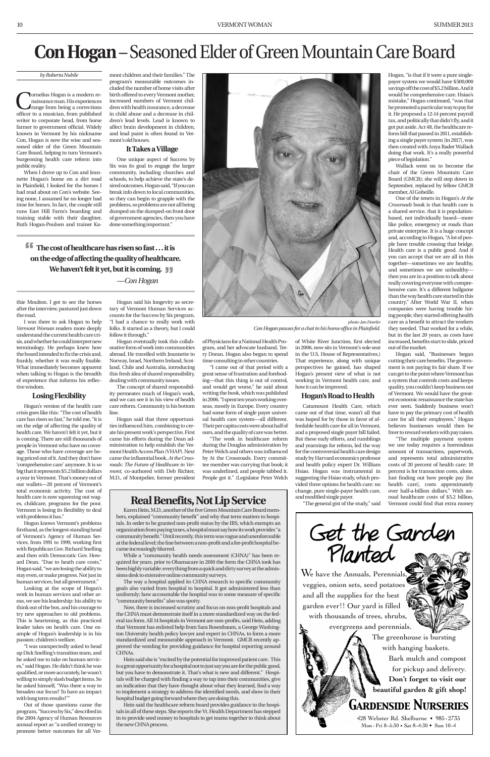We have the Annuals, Perennials veggies, onion sets, seed potatoes and all the supplies for the best garden ever!! Our yard is filled with thousands of trees, shrubs,

evergreens and perennials.

The greenhouse is bursting with hanging baskets. Bark mulch and compost for pickup and delivery. **Don't forget to visit our beautiful garden & gift shop!**

### *Gardenside Nurseries*

428 Webster Rd. Shelburne • 985 -2735 Mon - Fri 8–5:30 • Sat 8–4:30 • Sun 10–4

Get the Garden

**Cornelius Hogan is a modern re-**<br>
range from being a corrections<br>
officer to a musician from published naissance man. His experiences officer to a musician, from published writer to corporate head, from horse farmer to government official. Widely known in Vermont by his nickname Con, Hogan is now the wise and seasoned elder of the Green Mountain Care Board, helping to turn Vermont's burgeoning health care reform into public reality.

# Planted

## **Con Hogan** –Seasoned Elder of Green Mountain Care Board

*by Roberta Nubile*

When I drove up to Con and Jeannette Hogan's home on a dirt road in Plainfield, I looked for the horses I had read about on Con's website. Seeing none, I assumed he no longer had time for horses. In fact, the couple still runs East Hill Farm's boarding and training stable with their daughter, Ruth Hogan-Poulsen and trainer Ka-

thie Moulton. I got to see the horses after the interview, pastured just down the road.

I was there to ask Hogan to help *Vermont Woman* readers more deeply understand the current health care crisis, and whether he could interpret new terminology. He perhaps knew how the board intended to fix the crisis and, frankly, whether it was really fixable. What immediately becomes apparent when talking to Hogan is the breadth of experience that informs his reflective wisdom.

### **Losing Flexibility**

Hogan's version of the health care crisis goes like this: "The cost of health care has risen so fast," he told me, "it is on the edge of affecting the quality of health care. We haven't felt it yet, but it is coming. There are still thousands of people in Vermont who have no coverage. Those who have coverage are being priced out of it. And they don't have 'comprehensive care' anymore. It is so big that it represents \$5.2 billion dollars a year in Vermont. That's money out of our wallets—20 percent of Vermont's total economic activity. The cost of health care is now squeezing out wages, childcare, programs for the poor. Vermont is losing its flexibility to deal with problems it has."

Hogan knows Vermont's problems firsthand, as the longest-standing head of Vermont's Agency of Human Services, from 1991 to 1999, working first with Republican Gov. Richard Snelling and then with Democratic Gov. Howard Dean. "Due to heath care costs," Hogan said, "we are losing the ability to stay even, or make progress. Not just in human services, but all government." Looking at the scope of Hogan's work in human services and other areas, we see his leadership: his ability to think out of the box, and his courage to try new approaches to old problems. This is heartening, as this practiced leader takes on health care. One example of Hogan's leadership is in his passion: children's welfare. "I was unexpectedly asked to head up Dick Snelling's transition team, and he asked me to take on human services," said Hogan. He didn't think he was qualified, or more accurately, he wasn't willing to simply slash budget items. So he asked himself, "Was there a way to broaden our focus? To have an impact with long term results?'" Out of those questions came the program, "Success by Six," described in the 2004 Agency of Human Resources annual report as "a unified strategy to promote better outcomes for all Vermont children and their families." The program's measurable outcomes included the number of home visits after birth offered to every Vermont mother, increased numbers of Vermont children with health insurance, a decrease in child abuse and a decrease in children's lead levels. Lead is known to affect brain development in children, and lead paint is often found in Vermont's old houses.

### **It Takes a Village**

One unique aspect of Success by Six was its goal to engage the larger community, including churches and schools, to help achieve the state's desired outcomes. Hogan said, "If you can break info down to local communities, so they can begin to grapple with the problems, so problems are not all being dumped on the dumped-on front door of government agencies, then you have done something important."

Hogan said his longevity as secretary of Vermont Human Services accounts for the Success by Six program. "I had a chance to really work with folks. It started as a theory, but I could follow it through."

Hogan eventually took this collaborative form of work into communities abroad. He travelled with Jeannette to Norway, Israel, Northern Ireland, Scotland, Chile and Australia, introducing this fresh idea of shared responsibility, dealing with community issues.

The concept of shared responsibility permeates much of Hogan's work, and we can see it in his view of health care reform. Community is his bottom line.

Hogan said that three opportunities influenced him, combining to create his present work's perspective. First came his efforts during the Dean administration to help establish the Vermont Health Access Plan (VHAP). Next came the influential book, *At the Crossroads: The Future of Healthcare in Vermont,* co-authored with Deb Richter, M.D., of Montpelier, former president

of Physicians for a National Health Program, and her advocate husband, Terry Doran. Hogan also began to spend time consulting in other countries.

"I came out of that period with a great sense of frustration and foreboding—that this thing is out of control, and would get worse," he said about writing the book, which was published in 2006. "I spent ten years working overseas, mostly in Europe. Every country had some form of single payer universal health care system—all different. Their per capita costs were about half of ours, and the quality of care was better.

**If** The cost of healthcare has risen so fast . . . it is<br>on the edge of affecting the quality of healthcare **on the edge of affecting the quality of healthcare. We haven't felt it yet, but it is coming.**<br>—*Con Hogan* *—Con Hogan* 

> "The work in healthcare reform during the Douglas administration by Peter Welch and others was influenced by At the Crossroads. Every committee member was carrying that book; it was underlined, and people tabbed it. People got it." (Legislator Peter Welch

### **Real Benefits, Not Lip Service** and modified single payer. The study," said vermont could find that extra money

of White River Junction, first elected in 2006, now sits in Vermont's sole seat in the U.S. House of Representatives.) That experience, along with unique perspectives he gained, has shaped Hogan's present view of what is not working in Vermont health care, and how it can be improved.

#### **Hogan's Road to Health**

Catamount Health Care, which came out of that time, wasn't all that was hoped for by those in favor of affordable health care for all in Vermont, and a proposed single payer bill failed. But these early efforts, and rumblings and yearnings for reform, led the way for the controversial health care design study by Harvard economics professor and health policy expert Dr. William Hsiao. Hogan was instrumental in suggesting the Hsiao study, which provided three options for health care: no change, pure single-payer health care, and modified single payer.

"The general gist of the study," said

Hogan, "is that if it were a pure singlepayer system we would have \$500,000 savings off the cost of \$5.2 billion. And it would be comprehensive care. Hsiao's mistake," Hogan continued, "was that he promoted a particular way to pay for it. He proposed a 12-14 percent payroll tax, and politically that didn't fly, and it got put aside. Act 48, the healthcare reform bill that passed in 2011, establishing a single payer system [in 2017], was then created with Anya Rader Wallack doing that work. It's a really powerful piece of legislation."

Wallack went on to become the chair of the Green Mountain Care Board (GMCB); she will step down in September, replaced by fellow GMCB member, Al Gobeille.

One of the tenets in Hogan's *At the Crossroads* book is that health care is a shared service, that it is populationbased, not individually based—more like police, emergency or roads than private enterprise. It is a huge concept and, according to Hogan, "A lot of people have trouble crossing that bridge. Health care is a public good. And if you can accept that we are all in this together—sometimes we are healthy, and sometimes we are unhealthy then you are in a position to talk about really covering everyone with comprehensive care. It's a different ballgame than the way health care started in this country." After World War II, when companies were having trouble hiring people, they started offering health care as a benefit to attract the workers they needed. That worked for a while, but in the last 20 years, as costs have increased, benefits start to slide, priced out of the market.

Hogan said, "Businesses began cutting their care benefits. The government is not paying its fair share. If we can get to the point where Vermont has a system that controls costs and keeps quality, you couldn't keep business out of Vermont. We would have the greatest economic renaissance the state has ever seen. Suddenly business won't have to pay the primary cost of health care for all their employees." Hogan believes businesses would then be freer to reward workers with pay raises.

"The multiple payment system we use today requires a horrendous amount of transactions, paperwork, and represents total administrative costs of 20 percent of health care; 10 percent is for transaction costs, alone. Just finding out how people pay [for health care], costs approximately over half-a-billion dollars." With an-

Karen Hein, M.D., another of the five Green Mountain Care Board members, explained "community benefit" and why that term matters to hospitals. In order to be granted non-profit status by the IRS, which exempts an organization from paying taxes, a hospital must say how its work provides "a community benefit." Until recently, this term was vague and unenforceable at the federal level; the line between a non-profit and a for-profit hospital became increasingly blurred.

While a "community health needs assessment (CHNA)" has been required for years, prior to Obamacare in 2010 the form the CHNA took has been highly variable: everything from a quick and dirty survey at the admissions desk to extensive online community surveys.

The way a hospital applied its CHNA research to specific community goals also varied from hospital to hospital. It got administered less than uniformly; how accountable the hospital was to some measure of specific "community benefits" also was spotty.

Now, there is increased scrutiny and focus on non-profit hospitals and the CHNA must demonstrate itself in a more standardized way on the federal tax form. All 14 hospitals in Vermont are non-profits, said Hein, adding that Vermont has enlisted help from Sara Rosenbaum, a George Washington University health policy lawyer and expert in CHNAs, to form a more standardized and measurable approach in Vermont. GMCB recently approved the wording for providing guidance for hospital reporting around CHNAs.

Hein said she is "excited by the potential for improved patient care. This is a great opportunity for a hospital not to just say you are for the public good, but you have to demonstrate it. That's what is new and different." Hospitals will be charged with finding a way to tap into their communities, give an indication that they have thought about what they learned, find a way to implement a strategy to address the identified needs, and show in their hospital budget going forward where they are doing this.

Hein said the healthcare reform board provides guidance to the hospitals in all of these steps. She reports the Vt. Health Department has stepped in to provide seed money to hospitals to get teams together to think about the new CHNA process.



*photo: Jan Doerler Con Hogan pauses for a chat in his home office in Plainfield.*